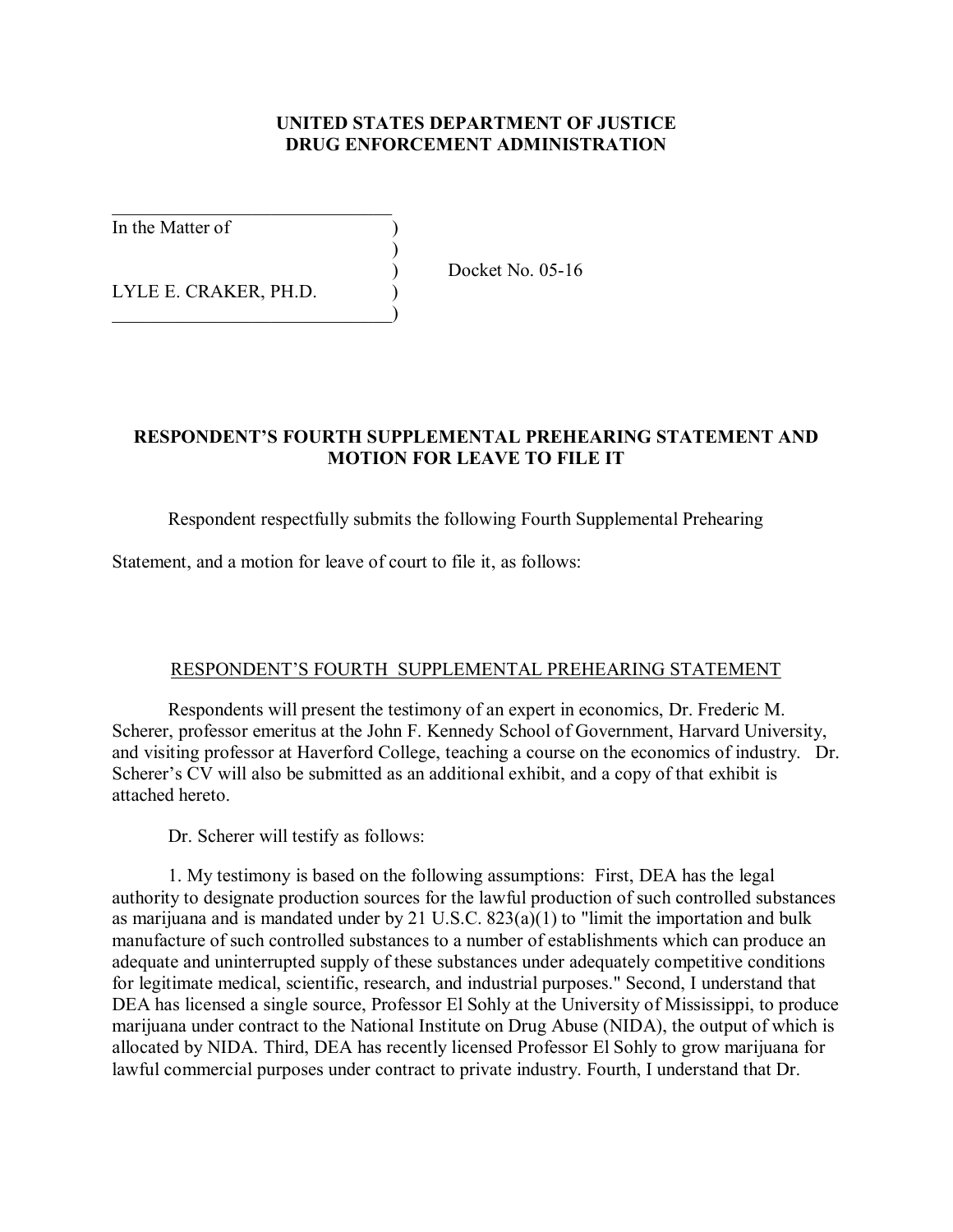## **UNITED STATES DEPARTMENT OF JUSTICE DRUG ENFORCEMENT ADMINISTRATION**

In the Matter of )

LYLE E. CRAKER, PH.D.

 $\mathcal{L}_\text{max}$  , where  $\mathcal{L}_\text{max}$  and  $\mathcal{L}_\text{max}$ 

 $)$ 

 $\qquad \qquad \qquad \qquad \qquad$ 

) Docket No. 05-16

# **RESPONDENTíS FOURTH SUPPLEMENTAL PREHEARING STATEMENT AND MOTION FOR LEAVE TO FILE IT**

# Respondent respectfully submits the following Fourth Supplemental Prehearing

Statement, and a motion for leave of court to file it, as follows:

### RESPONDENT'S FOURTH SUPPLEMENTAL PREHEARING STATEMENT

Respondents will present the testimony of an expert in economics, Dr. Frederic M. Scherer, professor emeritus at the John F. Kennedy School of Government, Harvard University, and visiting professor at Haverford College, teaching a course on the economics of industry. Dr. Scherer's CV will also be submitted as an additional exhibit, and a copy of that exhibit is attached hereto.

Dr. Scherer will testify as follows:

1. My testimony is based on the following assumptions: First, DEA has the legal authority to designate production sources for the lawful production of such controlled substances as marijuana and is mandated under by 21 U.S.C. 823(a)(1) to "limit the importation and bulk manufacture of such controlled substances to a number of establishments which can produce an adequate and uninterrupted supply of these substances under adequately competitive conditions for legitimate medical, scientific, research, and industrial purposes." Second, I understand that DEA has licensed a single source, Professor El Sohly at the University of Mississippi, to produce marijuana under contract to the National Institute on Drug Abuse (NIDA), the output of which is allocated by NIDA. Third, DEA has recently licensed Professor El Sohly to grow marijuana for lawful commercial purposes under contract to private industry. Fourth, I understand that Dr.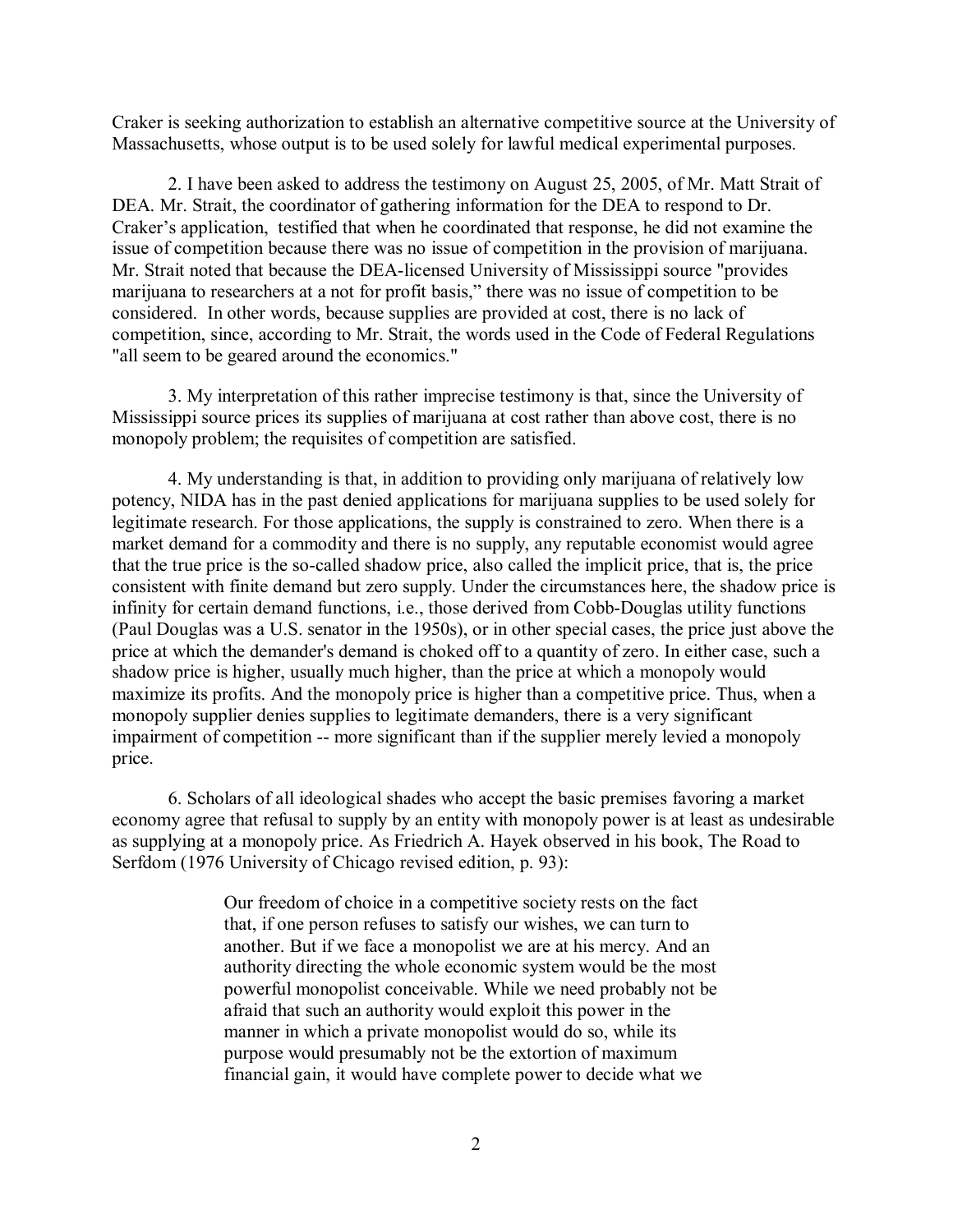Craker is seeking authorization to establish an alternative competitive source at the University of Massachusetts, whose output is to be used solely for lawful medical experimental purposes.

2. I have been asked to address the testimony on August 25, 2005, of Mr. Matt Strait of DEA. Mr. Strait, the coordinator of gathering information for the DEA to respond to Dr. Craker's application, testified that when he coordinated that response, he did not examine the issue of competition because there was no issue of competition in the provision of marijuana. Mr. Strait noted that because the DEA-licensed University of Mississippi source "provides marijuana to researchers at a not for profit basis," there was no issue of competition to be considered. In other words, because supplies are provided at cost, there is no lack of competition, since, according to Mr. Strait, the words used in the Code of Federal Regulations "all seem to be geared around the economics."

3. My interpretation of this rather imprecise testimony is that, since the University of Mississippi source prices its supplies of marijuana at cost rather than above cost, there is no monopoly problem; the requisites of competition are satisfied.

4. My understanding is that, in addition to providing only marijuana of relatively low potency, NIDA has in the past denied applications for marijuana supplies to be used solely for legitimate research. For those applications, the supply is constrained to zero. When there is a market demand for a commodity and there is no supply, any reputable economist would agree that the true price is the so-called shadow price, also called the implicit price, that is, the price consistent with finite demand but zero supply. Under the circumstances here, the shadow price is infinity for certain demand functions, i.e., those derived from Cobb-Douglas utility functions (Paul Douglas was a U.S. senator in the 1950s), or in other special cases, the price just above the price at which the demander's demand is choked off to a quantity of zero. In either case, such a shadow price is higher, usually much higher, than the price at which a monopoly would maximize its profits. And the monopoly price is higher than a competitive price. Thus, when a monopoly supplier denies supplies to legitimate demanders, there is a very significant impairment of competition -- more significant than if the supplier merely levied a monopoly price.

6. Scholars of all ideological shades who accept the basic premises favoring a market economy agree that refusal to supply by an entity with monopoly power is at least as undesirable as supplying at a monopoly price. As Friedrich A. Hayek observed in his book, The Road to Serfdom (1976 University of Chicago revised edition, p. 93):

> Our freedom of choice in a competitive society rests on the fact that, if one person refuses to satisfy our wishes, we can turn to another. But if we face a monopolist we are at his mercy. And an authority directing the whole economic system would be the most powerful monopolist conceivable. While we need probably not be afraid that such an authority would exploit this power in the manner in which a private monopolist would do so, while its purpose would presumably not be the extortion of maximum financial gain, it would have complete power to decide what we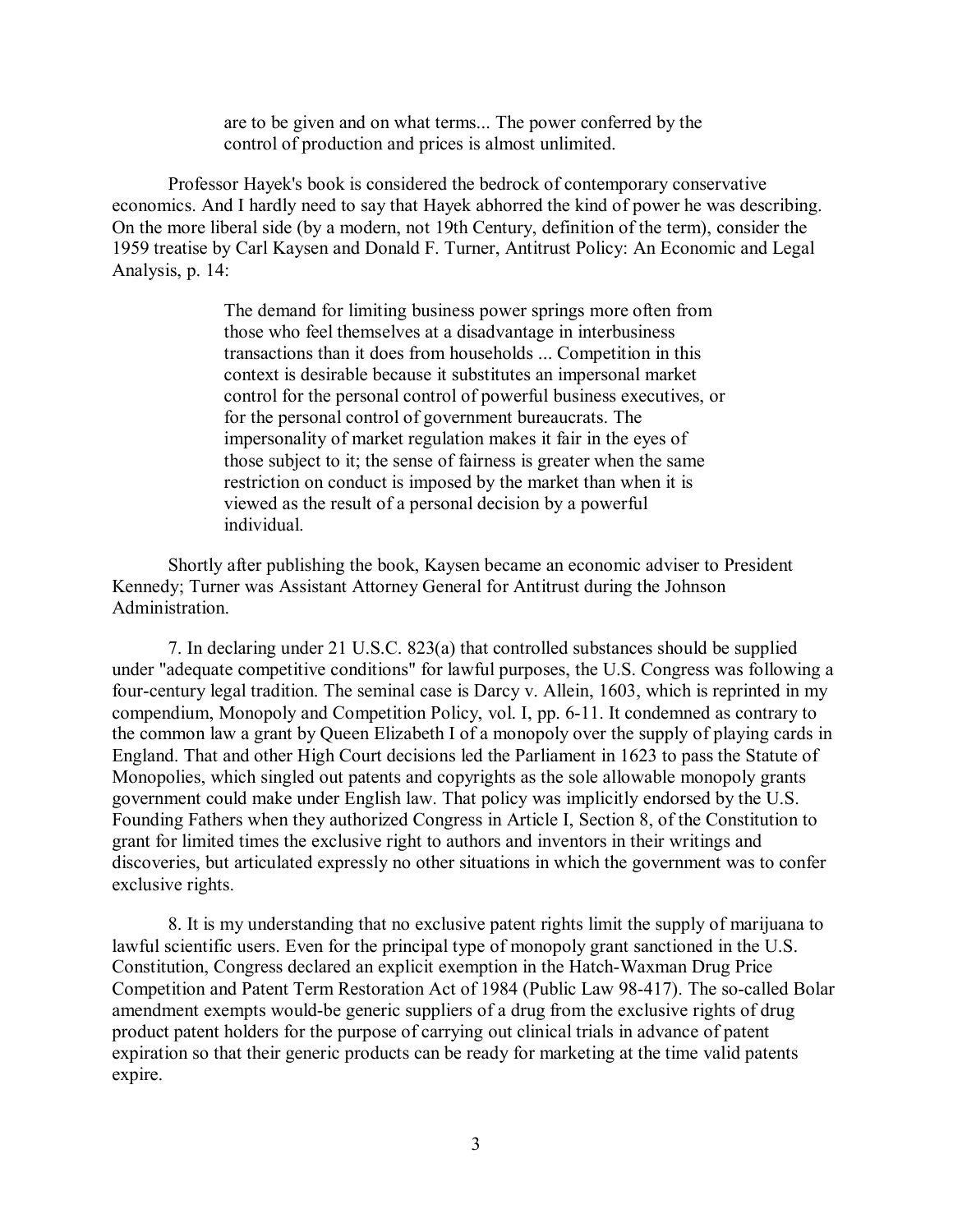are to be given and on what terms... The power conferred by the control of production and prices is almost unlimited.

Professor Hayek's book is considered the bedrock of contemporary conservative economics. And I hardly need to say that Hayek abhorred the kind of power he was describing. On the more liberal side (by a modern, not 19th Century, definition of the term), consider the 1959 treatise by Carl Kaysen and Donald F. Turner, Antitrust Policy: An Economic and Legal Analysis, p. 14:

> The demand for limiting business power springs more often from those who feel themselves at a disadvantage in interbusiness transactions than it does from households ... Competition in this context is desirable because it substitutes an impersonal market control for the personal control of powerful business executives, or for the personal control of government bureaucrats. The impersonality of market regulation makes it fair in the eyes of those subject to it; the sense of fairness is greater when the same restriction on conduct is imposed by the market than when it is viewed as the result of a personal decision by a powerful individual.

Shortly after publishing the book, Kaysen became an economic adviser to President Kennedy; Turner was Assistant Attorney General for Antitrust during the Johnson Administration.

7. In declaring under 21 U.S.C. 823(a) that controlled substances should be supplied under "adequate competitive conditions" for lawful purposes, the U.S. Congress was following a four-century legal tradition. The seminal case is Darcy v. Allein, 1603, which is reprinted in my compendium, Monopoly and Competition Policy, vol. I, pp. 6-11. It condemned as contrary to the common law a grant by Queen Elizabeth I of a monopoly over the supply of playing cards in England. That and other High Court decisions led the Parliament in 1623 to pass the Statute of Monopolies, which singled out patents and copyrights as the sole allowable monopoly grants government could make under English law. That policy was implicitly endorsed by the U.S. Founding Fathers when they authorized Congress in Article I, Section 8, of the Constitution to grant for limited times the exclusive right to authors and inventors in their writings and discoveries, but articulated expressly no other situations in which the government was to confer exclusive rights.

8. It is my understanding that no exclusive patent rights limit the supply of marijuana to lawful scientific users. Even for the principal type of monopoly grant sanctioned in the U.S. Constitution, Congress declared an explicit exemption in the Hatch-Waxman Drug Price Competition and Patent Term Restoration Act of 1984 (Public Law 98-417). The so-called Bolar amendment exempts would-be generic suppliers of a drug from the exclusive rights of drug product patent holders for the purpose of carrying out clinical trials in advance of patent expiration so that their generic products can be ready for marketing at the time valid patents expire.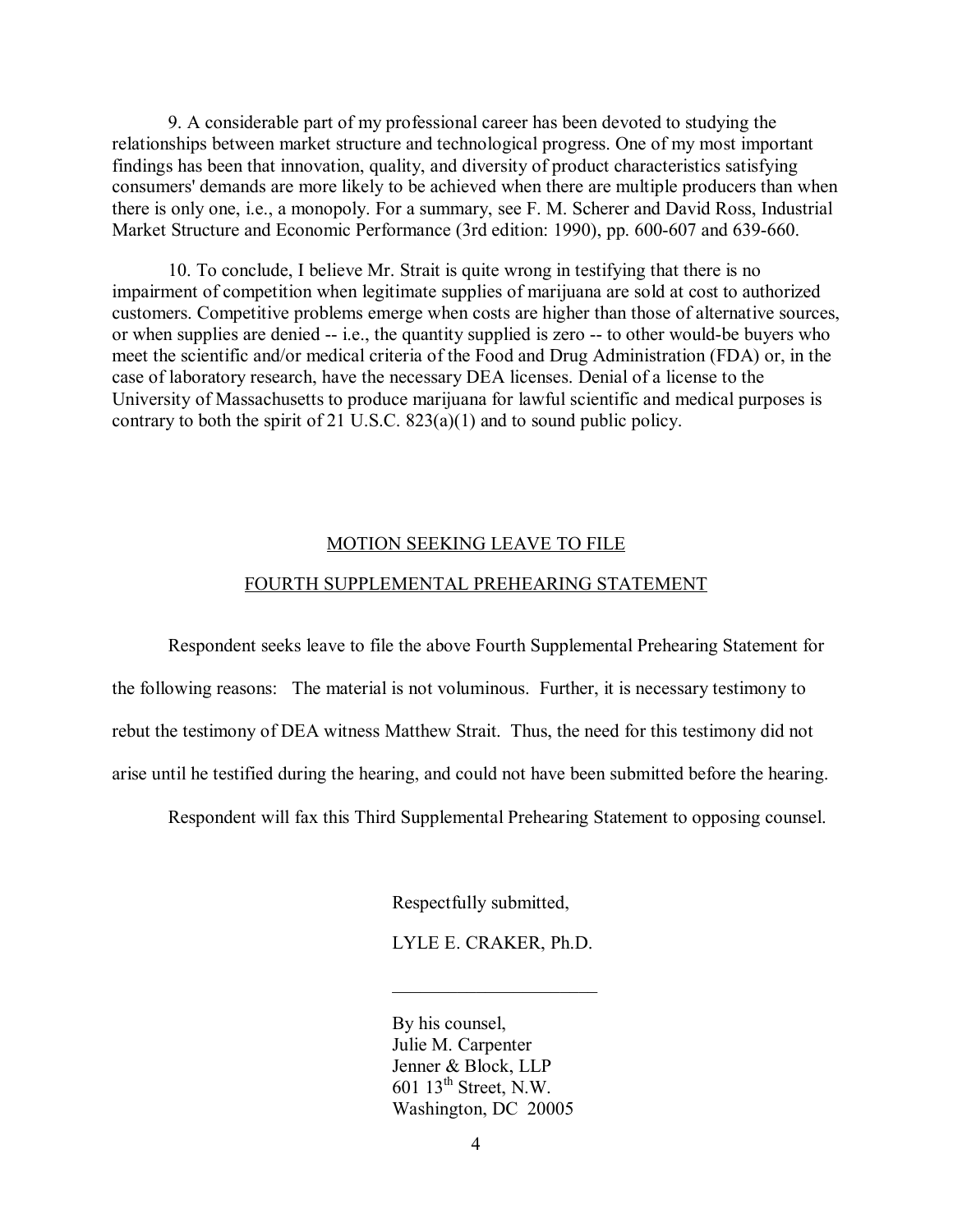9. A considerable part of my professional career has been devoted to studying the relationships between market structure and technological progress. One of my most important findings has been that innovation, quality, and diversity of product characteristics satisfying consumers' demands are more likely to be achieved when there are multiple producers than when there is only one, i.e., a monopoly. For a summary, see F. M. Scherer and David Ross, Industrial Market Structure and Economic Performance (3rd edition: 1990), pp. 600-607 and 639-660.

10. To conclude, I believe Mr. Strait is quite wrong in testifying that there is no impairment of competition when legitimate supplies of marijuana are sold at cost to authorized customers. Competitive problems emerge when costs are higher than those of alternative sources, or when supplies are denied -- i.e., the quantity supplied is zero -- to other would-be buyers who meet the scientific and/or medical criteria of the Food and Drug Administration (FDA) or, in the case of laboratory research, have the necessary DEA licenses. Denial of a license to the University of Massachusetts to produce marijuana for lawful scientific and medical purposes is contrary to both the spirit of 21 U.S.C. 823(a)(1) and to sound public policy.

#### MOTION SEEKING LEAVE TO FILE

#### FOURTH SUPPLEMENTAL PREHEARING STATEMENT

 Respondent seeks leave to file the above Fourth Supplemental Prehearing Statement for the following reasons: The material is not voluminous. Further, it is necessary testimony to rebut the testimony of DEA witness Matthew Strait. Thus, the need for this testimony did not arise until he testified during the hearing, and could not have been submitted before the hearing.

Respondent will fax this Third Supplemental Prehearing Statement to opposing counsel.

Respectfully submitted,

LYLE E. CRAKER, Ph.D.

 By his counsel, Julie M. Carpenter Jenner & Block, LLP 601  $13^{th}$  Street, N.W. Washington, DC 20005

 $\mathcal{L}_\text{max}$  and  $\mathcal{L}_\text{max}$  and  $\mathcal{L}_\text{max}$  and  $\mathcal{L}_\text{max}$  and  $\mathcal{L}_\text{max}$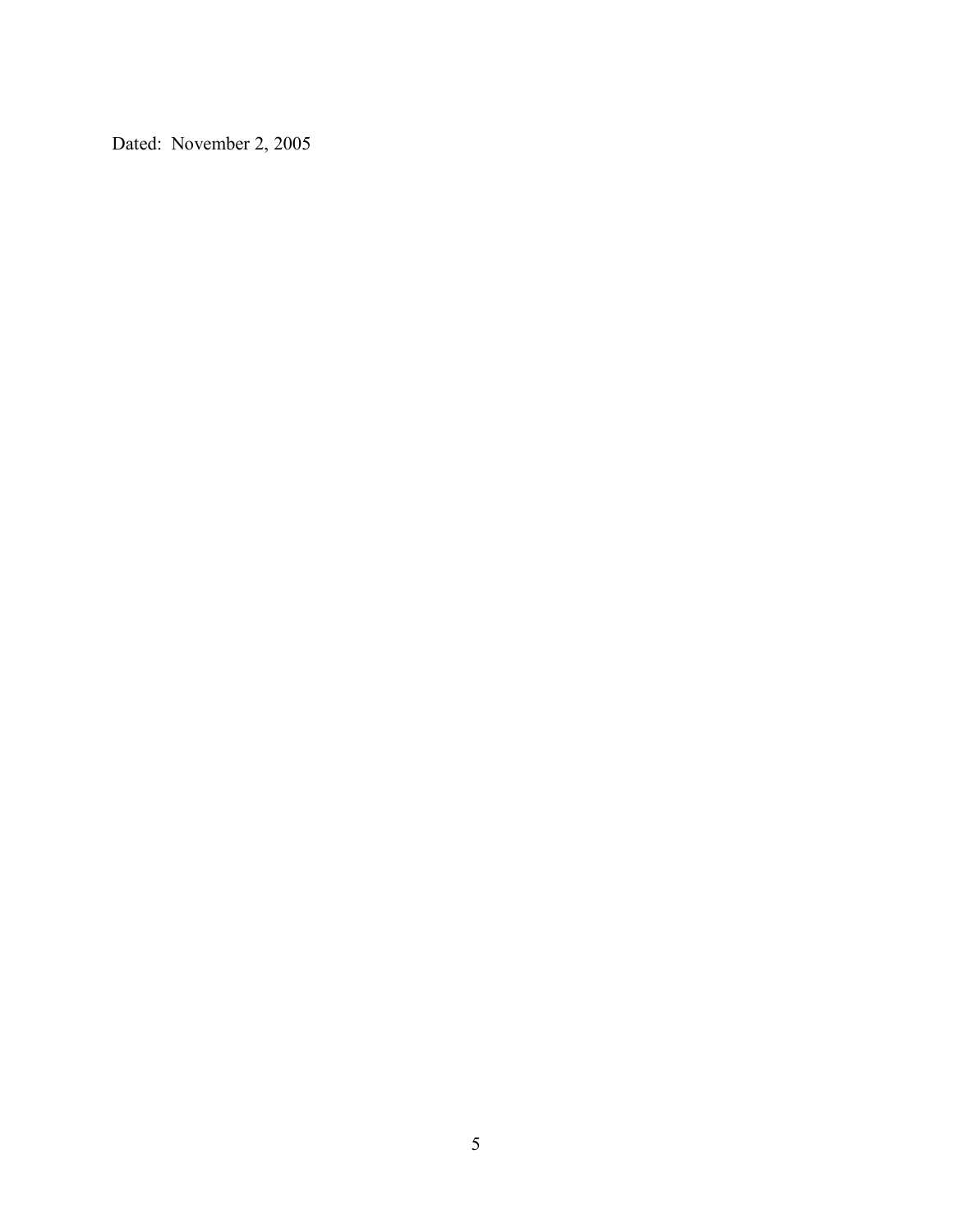Dated: November 2, 2005